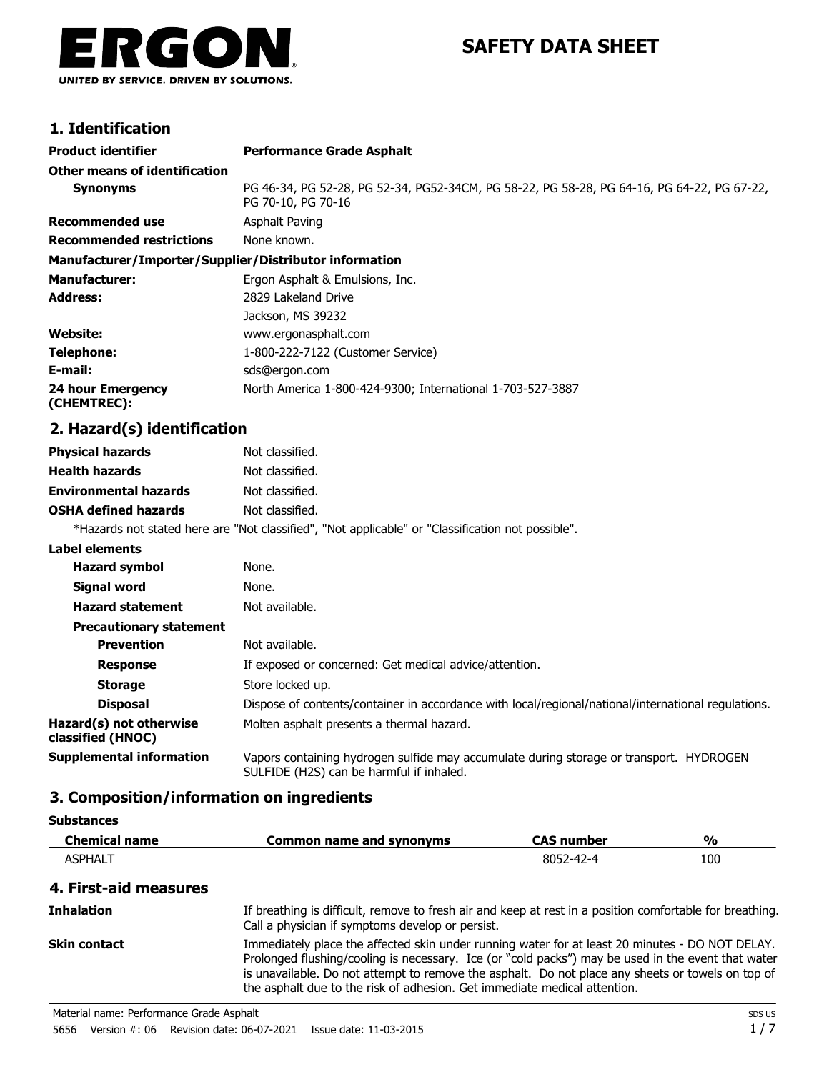

# **SAFETY DATA SHEET**

## **1. Identification**

| <b>Product identifier</b>                              | <b>Performance Grade Asphalt</b>                                                                                 |
|--------------------------------------------------------|------------------------------------------------------------------------------------------------------------------|
| Other means of identification                          |                                                                                                                  |
| <b>Synonyms</b>                                        | PG 46-34, PG 52-28, PG 52-34, PG52-34CM, PG 58-22, PG 58-28, PG 64-16, PG 64-22, PG 67-22,<br>PG 70-10, PG 70-16 |
| <b>Recommended use</b>                                 | <b>Asphalt Paving</b>                                                                                            |
| <b>Recommended restrictions</b>                        | None known.                                                                                                      |
| Manufacturer/Importer/Supplier/Distributor information |                                                                                                                  |
| <b>Manufacturer:</b>                                   | Ergon Asphalt & Emulsions, Inc.                                                                                  |
| <b>Address:</b>                                        | 2829 Lakeland Drive                                                                                              |
|                                                        | Jackson, MS 39232                                                                                                |
| Website:                                               | www.ergonasphalt.com                                                                                             |
| <b>Telephone:</b>                                      | 1-800-222-7122 (Customer Service)                                                                                |
| E-mail:                                                | sds@ergon.com                                                                                                    |
| 24 hour Emergency<br>(CHEMTREC):                       | North America 1-800-424-9300; International 1-703-527-3887                                                       |
| 2. Hazard(s) identification                            |                                                                                                                  |
| <b>Physical hazards</b>                                | Not classified.                                                                                                  |
| <b>Health hazards</b>                                  | Not classified.                                                                                                  |
| <b>Environmental hazards</b>                           | Not classified.                                                                                                  |
| <b>OSHA defined hazards</b>                            | Not classified.                                                                                                  |
|                                                        | *Hazards not stated here are "Not classified", "Not applicable" or "Classification not possible".                |
| <b>Label elements</b>                                  |                                                                                                                  |
|                                                        |                                                                                                                  |

| <b>Hazard symbol</b>                         | None.                                                                                                                               |
|----------------------------------------------|-------------------------------------------------------------------------------------------------------------------------------------|
| <b>Signal word</b>                           | None.                                                                                                                               |
| <b>Hazard statement</b>                      | Not available.                                                                                                                      |
| <b>Precautionary statement</b>               |                                                                                                                                     |
| <b>Prevention</b>                            | Not available.                                                                                                                      |
| <b>Response</b>                              | If exposed or concerned: Get medical advice/attention.                                                                              |
| <b>Storage</b>                               | Store locked up.                                                                                                                    |
| <b>Disposal</b>                              | Dispose of contents/container in accordance with local/regional/national/international regulations.                                 |
| Hazard(s) not otherwise<br>classified (HNOC) | Molten asphalt presents a thermal hazard.                                                                                           |
| Supplemental information                     | Vapors containing hydrogen sulfide may accumulate during storage or transport. HYDROGEN<br>SULFIDE (H2S) can be harmful if inhaled. |

### **3. Composition/information on ingredients**

**Substances**

| <b>Chemical name</b>  | <b>Common name and synonyms</b>                                                                                                                              | <b>CAS number</b> | $\frac{0}{0}$ |
|-----------------------|--------------------------------------------------------------------------------------------------------------------------------------------------------------|-------------------|---------------|
| <b>ASPHALT</b>        |                                                                                                                                                              | 8052-42-4         | 100           |
| 4. First-aid measures |                                                                                                                                                              |                   |               |
| <b>Inhalation</b>     | If breathing is difficult, remove to fresh air and keep at rest in a position comfortable for breathing.<br>Call a physician if symptoms develop or persist. |                   |               |

Immediately place the affected skin under running water for at least 20 minutes - DO NOT DELAY. Prolonged flushing/cooling is necessary. Ice (or "cold packs") may be used in the event that water is unavailable. Do not attempt to remove the asphalt. Do not place any sheets or towels on top of the asphalt due to the risk of adhesion. Get immediate medical attention. **Skin contact**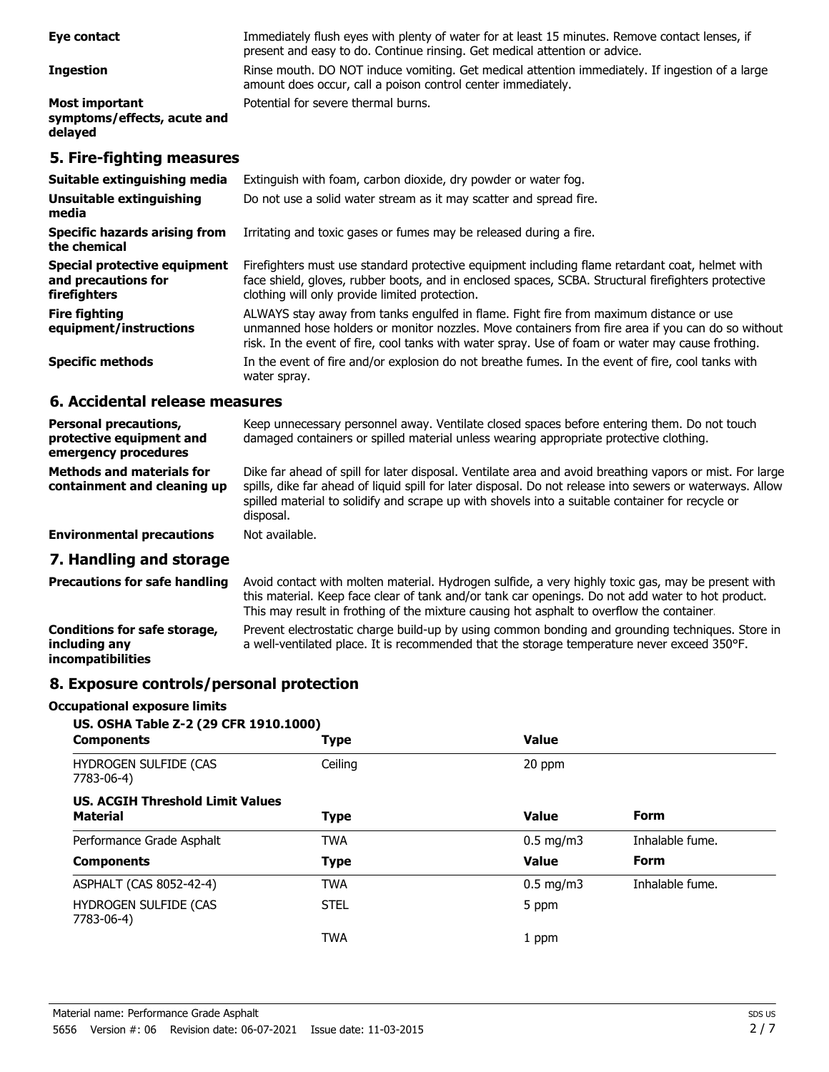| Eye contact                                                         | Immediately flush eyes with plenty of water for at least 15 minutes. Remove contact lenses, if<br>present and easy to do. Continue rinsing. Get medical attention or advice.                                                                             |
|---------------------------------------------------------------------|----------------------------------------------------------------------------------------------------------------------------------------------------------------------------------------------------------------------------------------------------------|
| <b>Ingestion</b>                                                    | Rinse mouth. DO NOT induce vomiting. Get medical attention immediately. If ingestion of a large<br>amount does occur, call a poison control center immediately.                                                                                          |
| <b>Most important</b><br>symptoms/effects, acute and<br>delayed     | Potential for severe thermal burns.                                                                                                                                                                                                                      |
| 5. Fire-fighting measures                                           |                                                                                                                                                                                                                                                          |
| Suitable extinguishing media                                        | Extinguish with foam, carbon dioxide, dry powder or water fog.                                                                                                                                                                                           |
| Unsuitable extinguishing<br>media                                   | Do not use a solid water stream as it may scatter and spread fire.                                                                                                                                                                                       |
| <b>Specific hazards arising from</b><br>the chemical                | Irritating and toxic gases or fumes may be released during a fire.                                                                                                                                                                                       |
| Special protective equipment<br>and precautions for<br>firefighters | Firefighters must use standard protective equipment including flame retardant coat, helmet with<br>face shield, gloves, rubber boots, and in enclosed spaces, SCBA. Structural firefighters protective<br>clothing will only provide limited protection. |
| <b>Fire fighting</b><br>equipment/instructions                      | ALWAYS stay away from tanks engulfed in flame. Fight fire from maximum distance or use<br>unmanned hose holders or monitor nozzles. Move containers from fire area if you can do so without                                                              |

**Specific methods**

### **6. Accidental release measures**

water spray.

| <b>Personal precautions,</b><br>protective equipment and<br>emergency procedures | Keep unnecessary personnel away. Ventilate closed spaces before entering them. Do not touch<br>damaged containers or spilled material unless wearing appropriate protective clothing.                                                                                                                                                  |
|----------------------------------------------------------------------------------|----------------------------------------------------------------------------------------------------------------------------------------------------------------------------------------------------------------------------------------------------------------------------------------------------------------------------------------|
| <b>Methods and materials for</b><br>containment and cleaning up                  | Dike far ahead of spill for later disposal. Ventilate area and avoid breathing vapors or mist. For large<br>spills, dike far ahead of liquid spill for later disposal. Do not release into sewers or waterways. Allow<br>spilled material to solidify and scrape up with shovels into a suitable container for recycle or<br>disposal. |
| <b>Environmental precautions</b>                                                 | Not available.                                                                                                                                                                                                                                                                                                                         |
| 7. Handling and storage                                                          |                                                                                                                                                                                                                                                                                                                                        |
|                                                                                  | <b>Dreasutions for esta hondling</b> Avoid contact with molton material Hydrogen sulfide a very bigbly toxic gas may be present with                                                                                                                                                                                                   |

risk. In the event of fire, cool tanks with water spray. Use of foam or water may cause frothing.

In the event of fire and/or explosion do not breathe fumes. In the event of fire, cool tanks with

Avoid contact with molten material. Hydrogen sulfide, a very highly toxic gas, may be present with this material. Keep face clear of tank and/or tank car openings. Do not add water to hot product. This may result in frothing of the mixture causing hot asphalt to overflow the container. **Precautions for safe handling** Prevent electrostatic charge build-up by using common bonding and grounding techniques. Store in a well-ventilated place. It is recommended that the storage temperature never exceed 350°F. **Conditions for safe storage, including any incompatibilities**

### **8. Exposure controls/personal protection**

#### **Occupational exposure limits**

| US. OSHA Table Z-2 (29 CFR 1910.1000)                      |             |                    |                 |  |
|------------------------------------------------------------|-------------|--------------------|-----------------|--|
| <b>Components</b>                                          | <b>Type</b> | <b>Value</b>       |                 |  |
| HYDROGEN SULFIDE (CAS<br>7783-06-4)                        | Ceiling     | 20 ppm             |                 |  |
| <b>US. ACGIH Threshold Limit Values</b><br><b>Material</b> | <b>Type</b> | <b>Value</b>       | Form            |  |
| Performance Grade Asphalt                                  | <b>TWA</b>  | $0.5 \text{ mg/m}$ | Inhalable fume. |  |
| <b>Components</b>                                          | <b>Type</b> | <b>Value</b>       | Form            |  |
| ASPHALT (CAS 8052-42-4)                                    | <b>TWA</b>  | $0.5 \text{ mg/m}$ | Inhalable fume. |  |
| <b>HYDROGEN SULFIDE (CAS</b><br>7783-06-4)                 | <b>STEL</b> | 5 ppm              |                 |  |
|                                                            | <b>TWA</b>  | 1 ppm              |                 |  |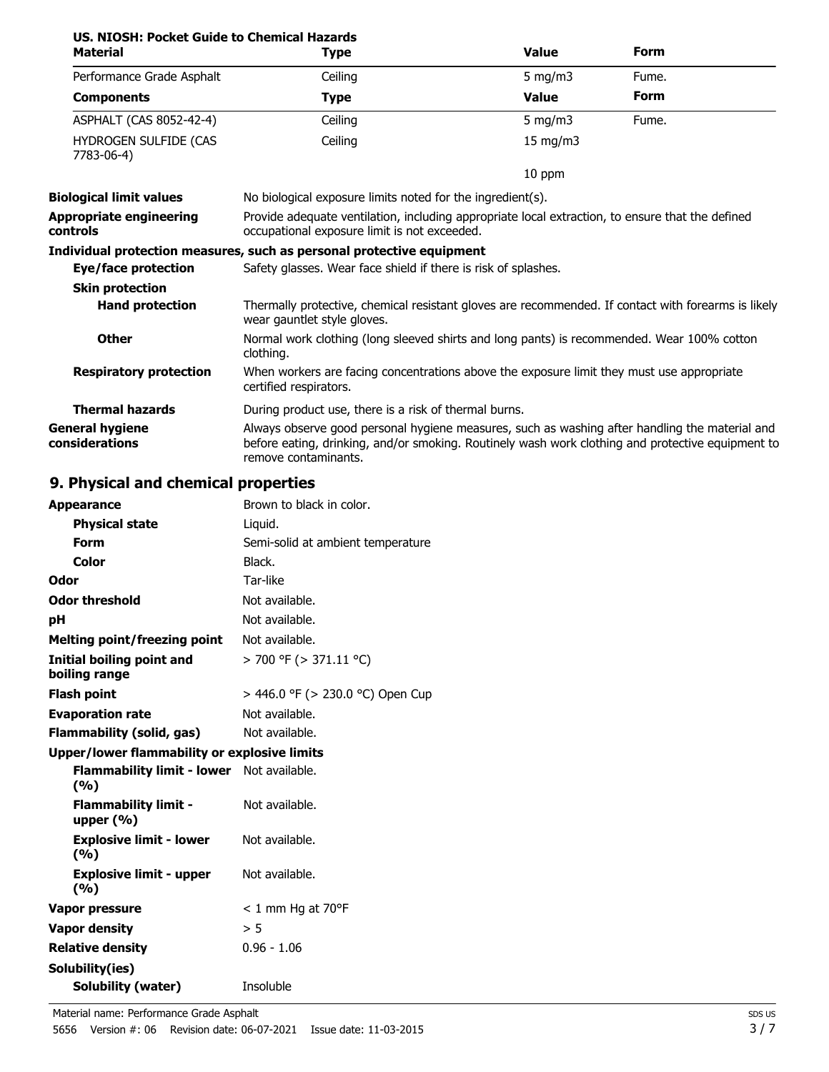| US. NIOSH: Pocket Guide to Chemical Hazards<br><b>Material</b> | <b>Type</b>                                                                                                                                                                                                                 | <b>Value</b>                                                                                        | <b>Form</b> |  |  |
|----------------------------------------------------------------|-----------------------------------------------------------------------------------------------------------------------------------------------------------------------------------------------------------------------------|-----------------------------------------------------------------------------------------------------|-------------|--|--|
| Performance Grade Asphalt                                      | Ceiling                                                                                                                                                                                                                     | $5$ mg/m $3$                                                                                        | Fume.       |  |  |
| <b>Components</b>                                              | <b>Type</b>                                                                                                                                                                                                                 | <b>Value</b>                                                                                        | <b>Form</b> |  |  |
| ASPHALT (CAS 8052-42-4)                                        | Ceiling                                                                                                                                                                                                                     | 5 mg/m $3$                                                                                          | Fume.       |  |  |
| HYDROGEN SULFIDE (CAS<br>7783-06-4)                            | Ceiling                                                                                                                                                                                                                     | 15 mg/m3                                                                                            |             |  |  |
|                                                                |                                                                                                                                                                                                                             | 10 ppm                                                                                              |             |  |  |
| <b>Biological limit values</b>                                 | No biological exposure limits noted for the ingredient(s).                                                                                                                                                                  |                                                                                                     |             |  |  |
| <b>Appropriate engineering</b><br><b>controls</b>              | Provide adequate ventilation, including appropriate local extraction, to ensure that the defined<br>occupational exposure limit is not exceeded.                                                                            |                                                                                                     |             |  |  |
|                                                                | Individual protection measures, such as personal protective equipment                                                                                                                                                       |                                                                                                     |             |  |  |
| Eye/face protection                                            | Safety glasses. Wear face shield if there is risk of splashes.                                                                                                                                                              |                                                                                                     |             |  |  |
| <b>Skin protection</b>                                         |                                                                                                                                                                                                                             |                                                                                                     |             |  |  |
| <b>Hand protection</b>                                         | wear gauntlet style gloves.                                                                                                                                                                                                 | Thermally protective, chemical resistant gloves are recommended. If contact with forearms is likely |             |  |  |
| <b>Other</b>                                                   | clothing.                                                                                                                                                                                                                   | Normal work clothing (long sleeved shirts and long pants) is recommended. Wear 100% cotton          |             |  |  |
| <b>Respiratory protection</b>                                  | When workers are facing concentrations above the exposure limit they must use appropriate<br>certified respirators.                                                                                                         |                                                                                                     |             |  |  |
| <b>Thermal hazards</b>                                         | During product use, there is a risk of thermal burns.                                                                                                                                                                       |                                                                                                     |             |  |  |
| <b>General hygiene</b><br>considerations                       | Always observe good personal hygiene measures, such as washing after handling the material and<br>before eating, drinking, and/or smoking. Routinely wash work clothing and protective equipment to<br>remove contaminants. |                                                                                                     |             |  |  |

# **9. Physical and chemical properties**

| <b>Appearance</b>                                | Brown to black in color.          |
|--------------------------------------------------|-----------------------------------|
| <b>Physical state</b>                            | Liquid.                           |
| <b>Form</b>                                      | Semi-solid at ambient temperature |
| <b>Color</b>                                     | Black.                            |
| Odor                                             | Tar-like                          |
| <b>Odor threshold</b>                            | Not available.                    |
| pH                                               | Not available.                    |
| <b>Melting point/freezing point</b>              | Not available.                    |
| Initial boiling point and<br>boiling range       | > 700 °F (> 371.11 °C)            |
| <b>Flash point</b>                               | > 446.0 °F (> 230.0 °C) Open Cup  |
| <b>Evaporation rate</b>                          | Not available.                    |
| Flammability (solid, gas)                        | Not available.                    |
| Upper/lower flammability or explosive limits     |                                   |
| Flammability limit - lower Not available.<br>(%) |                                   |
| <b>Flammability limit -</b><br>upper $(\% )$     | Not available.                    |
| <b>Explosive limit - lower</b><br>(9/6)          | Not available.                    |
| <b>Explosive limit - upper</b><br>(9/6)          | Not available.                    |
| Vapor pressure                                   | $< 1$ mm Hg at 70°F               |
| <b>Vapor density</b>                             | > 5                               |
| <b>Relative density</b>                          | $0.96 - 1.06$                     |
| Solubility(ies)                                  |                                   |
| <b>Solubility (water)</b>                        | Insoluble                         |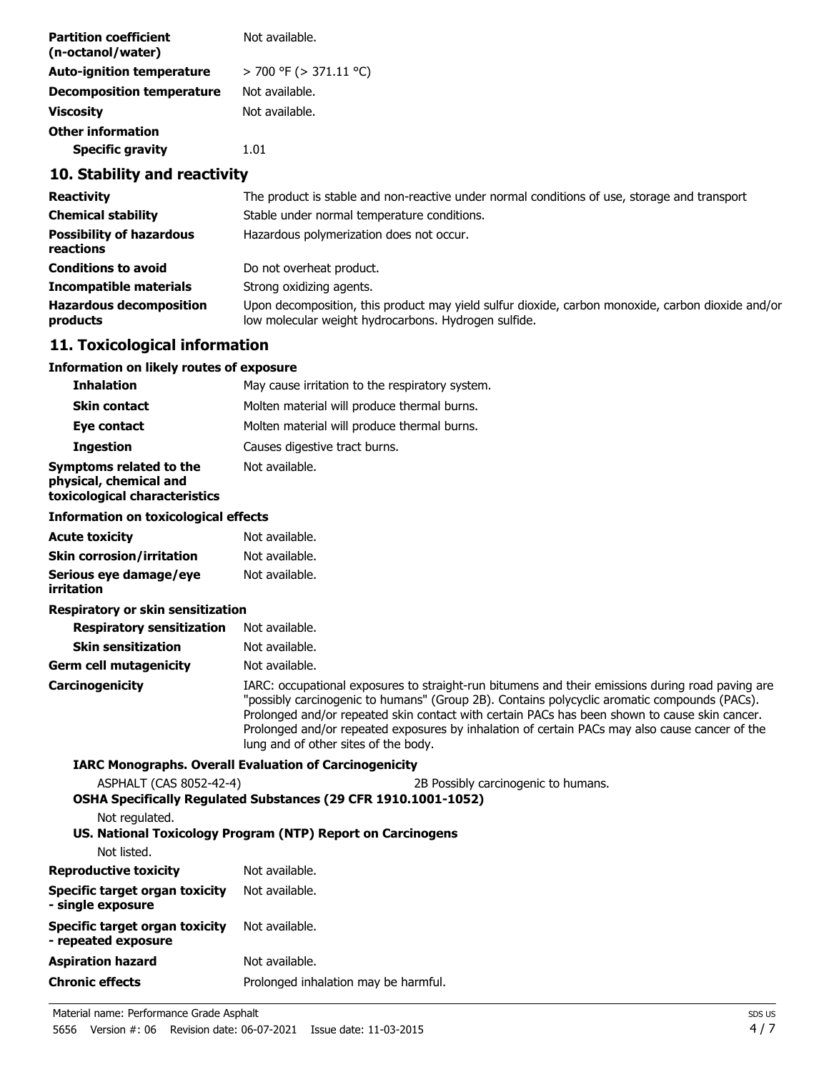| <b>Partition coefficient</b><br>(n-octanol/water) | Not available.              |
|---------------------------------------------------|-----------------------------|
| <b>Auto-ignition temperature</b>                  | $>$ 700 °F ( $>$ 371.11 °C) |
| <b>Decomposition temperature</b>                  | Not available.              |
| <b>Viscosity</b>                                  | Not available.              |
| <b>Other information</b>                          |                             |
| <b>Specific gravity</b>                           | 1.01                        |

# **10. Stability and reactivity**

| <b>Reactivity</b>                            | The product is stable and non-reactive under normal conditions of use, storage and transport                                                              |
|----------------------------------------------|-----------------------------------------------------------------------------------------------------------------------------------------------------------|
| <b>Chemical stability</b>                    | Stable under normal temperature conditions.                                                                                                               |
| <b>Possibility of hazardous</b><br>reactions | Hazardous polymerization does not occur.                                                                                                                  |
| <b>Conditions to avoid</b>                   | Do not overheat product.                                                                                                                                  |
| <b>Incompatible materials</b>                | Strong oxidizing agents.                                                                                                                                  |
| <b>Hazardous decomposition</b><br>products   | Upon decomposition, this product may yield sulfur dioxide, carbon monoxide, carbon dioxide and/or<br>low molecular weight hydrocarbons. Hydrogen sulfide. |

# **11. Toxicological information**

# **Information on likely routes of exposure**

| <b>Inhalation</b>                                                                  | May cause irritation to the respiratory system.                                                                                                                                                                                                                                                                                                                                                                                             |  |  |  |
|------------------------------------------------------------------------------------|---------------------------------------------------------------------------------------------------------------------------------------------------------------------------------------------------------------------------------------------------------------------------------------------------------------------------------------------------------------------------------------------------------------------------------------------|--|--|--|
| <b>Skin contact</b>                                                                | Molten material will produce thermal burns.                                                                                                                                                                                                                                                                                                                                                                                                 |  |  |  |
| <b>Eve contact</b>                                                                 | Molten material will produce thermal burns.                                                                                                                                                                                                                                                                                                                                                                                                 |  |  |  |
| <b>Ingestion</b>                                                                   | Causes digestive tract burns.                                                                                                                                                                                                                                                                                                                                                                                                               |  |  |  |
| Symptoms related to the<br>physical, chemical and<br>toxicological characteristics | Not available.                                                                                                                                                                                                                                                                                                                                                                                                                              |  |  |  |
| <b>Information on toxicological effects</b>                                        |                                                                                                                                                                                                                                                                                                                                                                                                                                             |  |  |  |
| <b>Acute toxicity</b>                                                              | Not available.                                                                                                                                                                                                                                                                                                                                                                                                                              |  |  |  |
| <b>Skin corrosion/irritation</b>                                                   | Not available.                                                                                                                                                                                                                                                                                                                                                                                                                              |  |  |  |
| Serious eye damage/eye<br><b>irritation</b>                                        | Not available.                                                                                                                                                                                                                                                                                                                                                                                                                              |  |  |  |
| Respiratory or skin sensitization                                                  |                                                                                                                                                                                                                                                                                                                                                                                                                                             |  |  |  |
| <b>Respiratory sensitization</b>                                                   | Not available.                                                                                                                                                                                                                                                                                                                                                                                                                              |  |  |  |
| <b>Skin sensitization</b>                                                          | Not available.                                                                                                                                                                                                                                                                                                                                                                                                                              |  |  |  |
| <b>Germ cell mutagenicity</b>                                                      | Not available.                                                                                                                                                                                                                                                                                                                                                                                                                              |  |  |  |
| Carcinogenicity                                                                    | IARC: occupational exposures to straight-run bitumens and their emissions during road paving are<br>"possibly carcinogenic to humans" (Group 2B). Contains polycyclic aromatic compounds (PACs).<br>Prolonged and/or repeated skin contact with certain PACs has been shown to cause skin cancer.<br>Prolonged and/or repeated exposures by inhalation of certain PACs may also cause cancer of the<br>lung and of other sites of the body. |  |  |  |
|                                                                                    | <b>IARC Monographs. Overall Evaluation of Carcinogenicity</b>                                                                                                                                                                                                                                                                                                                                                                               |  |  |  |
| ASPHALT (CAS 8052-42-4)<br>Not regulated.                                          | 2B Possibly carcinogenic to humans.<br>OSHA Specifically Regulated Substances (29 CFR 1910.1001-1052)                                                                                                                                                                                                                                                                                                                                       |  |  |  |
|                                                                                    | US. National Toxicology Program (NTP) Report on Carcinogens                                                                                                                                                                                                                                                                                                                                                                                 |  |  |  |
| Not listed.                                                                        |                                                                                                                                                                                                                                                                                                                                                                                                                                             |  |  |  |
| <b>Reproductive toxicity</b>                                                       | Not available.                                                                                                                                                                                                                                                                                                                                                                                                                              |  |  |  |
| <b>Specific target organ toxicity</b><br>- single exposure                         | Not available.                                                                                                                                                                                                                                                                                                                                                                                                                              |  |  |  |
| Specific target organ toxicity<br>- repeated exposure                              | Not available.                                                                                                                                                                                                                                                                                                                                                                                                                              |  |  |  |
| <b>Aspiration hazard</b>                                                           | Not available.                                                                                                                                                                                                                                                                                                                                                                                                                              |  |  |  |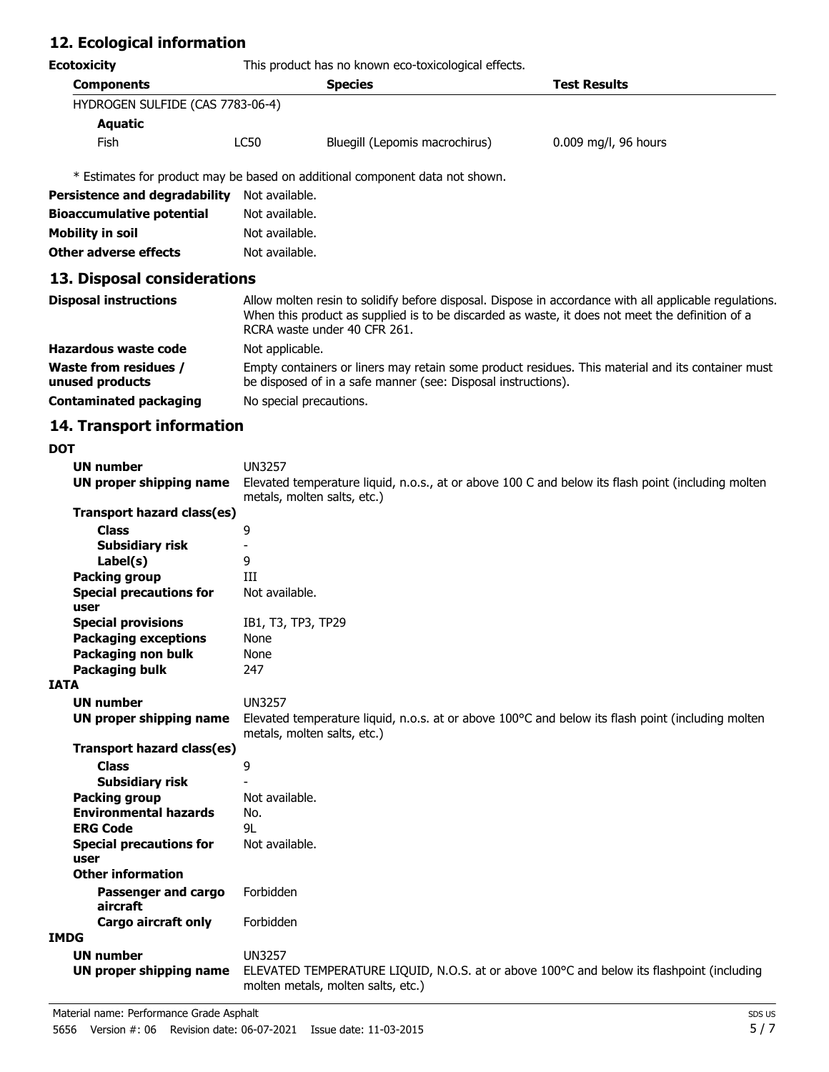# **12. Ecological information**

**Ecotoxicity** This product has no known eco-toxicological effects.

|                                  | <b>Species</b>                 | <b>Test Results</b>  |  |
|----------------------------------|--------------------------------|----------------------|--|
| HYDROGEN SULFIDE (CAS 7783-06-4) |                                |                      |  |
|                                  |                                |                      |  |
| LC50                             | Bluegill (Lepomis macrochirus) | 0.009 mg/l, 96 hours |  |
|                                  |                                |                      |  |

\* Estimates for product may be based on additional component data not shown.

| <b>Persistence and degradability</b> | Not available. |
|--------------------------------------|----------------|
| <b>Bioaccumulative potential</b>     | Not available. |
| Mobility in soil                     | Not available. |
| <b>Other adverse effects</b>         | Not available. |

# **13. Disposal considerations**

| <b>Disposal instructions</b>                    | Allow molten resin to solidify before disposal. Dispose in accordance with all applicable regulations.<br>When this product as supplied is to be discarded as waste, it does not meet the definition of a<br>RCRA waste under 40 CFR 261. |
|-------------------------------------------------|-------------------------------------------------------------------------------------------------------------------------------------------------------------------------------------------------------------------------------------------|
| Hazardous waste code                            | Not applicable.                                                                                                                                                                                                                           |
| <b>Waste from residues /</b><br>unused products | Empty containers or liners may retain some product residues. This material and its container must<br>be disposed of in a safe manner (see: Disposal instructions).                                                                        |
| <b>Contaminated packaging</b>                   | No special precautions.                                                                                                                                                                                                                   |

# **14. Transport information**

### **DOT**

| <b>UN number</b>               | <b>UN3257</b>                                                                                                                   |  |
|--------------------------------|---------------------------------------------------------------------------------------------------------------------------------|--|
| UN proper shipping name        | Elevated temperature liquid, n.o.s., at or above 100 C and below its flash point (including molten                              |  |
|                                | metals, molten salts, etc.)                                                                                                     |  |
| Transport hazard class(es)     |                                                                                                                                 |  |
| <b>Class</b>                   | 9                                                                                                                               |  |
| <b>Subsidiary risk</b>         |                                                                                                                                 |  |
| Label(s)                       | 9                                                                                                                               |  |
| <b>Packing group</b>           | ИI                                                                                                                              |  |
| <b>Special precautions for</b> | Not available.                                                                                                                  |  |
| user                           |                                                                                                                                 |  |
| <b>Special provisions</b>      | IB1, T3, TP3, TP29                                                                                                              |  |
| <b>Packaging exceptions</b>    | None                                                                                                                            |  |
| Packaging non bulk             | None                                                                                                                            |  |
| <b>Packaging bulk</b>          | 247                                                                                                                             |  |
| <b>IATA</b>                    |                                                                                                                                 |  |
| <b>UN number</b>               | <b>UN3257</b>                                                                                                                   |  |
| UN proper shipping name        | Elevated temperature liquid, n.o.s. at or above 100°C and below its flash point (including molten                               |  |
|                                | metals, molten salts, etc.)                                                                                                     |  |
| Transport hazard class(es)     |                                                                                                                                 |  |
| <b>Class</b>                   | 9                                                                                                                               |  |
| <b>Subsidiary risk</b>         |                                                                                                                                 |  |
| <b>Packing group</b>           | Not available.                                                                                                                  |  |
| <b>Environmental hazards</b>   | No.                                                                                                                             |  |
| <b>ERG Code</b>                | 9L                                                                                                                              |  |
| <b>Special precautions for</b> | Not available.                                                                                                                  |  |
| user                           |                                                                                                                                 |  |
| <b>Other information</b>       |                                                                                                                                 |  |
| Passenger and cargo            | Forbidden                                                                                                                       |  |
| aircraft                       |                                                                                                                                 |  |
| <b>Cargo aircraft only</b>     | Forbidden                                                                                                                       |  |
| <b>IMDG</b>                    |                                                                                                                                 |  |
| <b>UN number</b>               | <b>UN3257</b>                                                                                                                   |  |
| UN proper shipping name        | ELEVATED TEMPERATURE LIQUID, N.O.S. at or above 100°C and below its flashpoint (including<br>molten metals, molten salts, etc.) |  |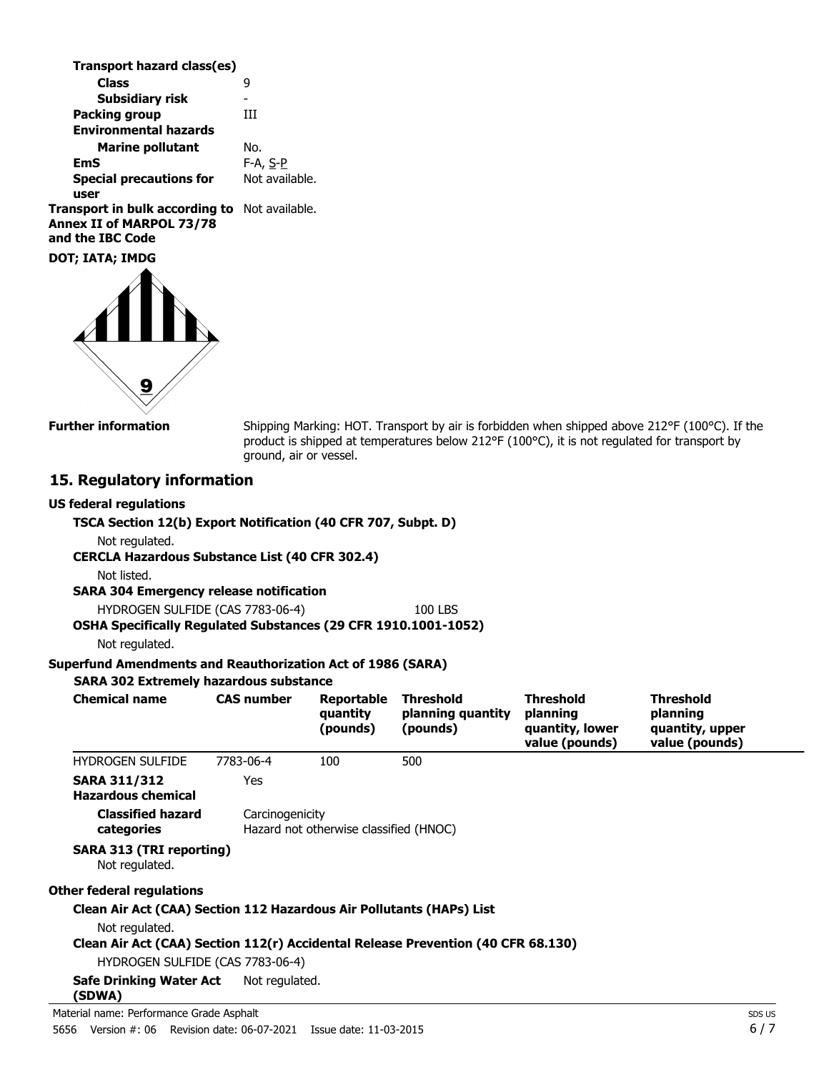| Transport hazard class(es)                                                                           |                |
|------------------------------------------------------------------------------------------------------|----------------|
| <b>Class</b>                                                                                         | g              |
| <b>Subsidiary risk</b>                                                                               |                |
| <b>Packing group</b>                                                                                 | Ш              |
| <b>Environmental hazards</b>                                                                         |                |
| <b>Marine pollutant</b>                                                                              | No.            |
| <b>EmS</b>                                                                                           | F-A, S-P       |
| <b>Special precautions for</b>                                                                       | Not available. |
| user                                                                                                 |                |
| <b>Transport in bulk according to</b> Not available.<br>Annex II of MARPOL 73/78<br>and the IBC Code |                |
|                                                                                                      |                |

**DOT; IATA; IMDG**



**Further information**

Shipping Marking: HOT. Transport by air is forbidden when shipped above 212°F (100°C). If the product is shipped at temperatures below 212°F (100°C), it is not regulated for transport by ground, air or vessel.

### **15. Regulatory information**

#### **US federal regulations**

### **TSCA Section 12(b) Export Notification (40 CFR 707, Subpt. D)**

Not regulated.

**CERCLA Hazardous Substance List (40 CFR 302.4)**

Not listed.

### **SARA 304 Emergency release notification**

HYDROGEN SULFIDE (CAS 7783-06-4) 100 LBS

# **OSHA Specifically Regulated Substances (29 CFR 1910.1001-1052)**

Not regulated.

### **Superfund Amendments and Reauthorization Act of 1986 (SARA)**

### **SARA 302 Extremely hazardous substance**

| <b>Chemical name</b>                                                                   | <b>CAS number</b> | Reportable<br>quantity<br>(pounds)     | <b>Threshold</b><br>planning quantity<br>(pounds) | <b>Threshold</b><br>planning<br>quantity, lower<br>value (pounds) | <b>Threshold</b><br>planning<br>quantity, upper<br>value (pounds) |
|----------------------------------------------------------------------------------------|-------------------|----------------------------------------|---------------------------------------------------|-------------------------------------------------------------------|-------------------------------------------------------------------|
| <b>HYDROGEN SULFIDE</b>                                                                | 7783-06-4         | 100                                    | 500                                               |                                                                   |                                                                   |
| <b>SARA 311/312</b><br><b>Hazardous chemical</b>                                       | Yes               |                                        |                                                   |                                                                   |                                                                   |
| <b>Classified hazard</b><br>categories                                                 | Carcinogenicity   | Hazard not otherwise classified (HNOC) |                                                   |                                                                   |                                                                   |
| SARA 313 (TRI reporting)<br>Not regulated.                                             |                   |                                        |                                                   |                                                                   |                                                                   |
| Other federal regulations                                                              |                   |                                        |                                                   |                                                                   |                                                                   |
| Clean Air Act (CAA) Section 112 Hazardous Air Pollutants (HAPs) List<br>Not regulated. |                   |                                        |                                                   |                                                                   |                                                                   |
| Clean Air Act (CAA) Section 112(r) Accidental Release Prevention (40 CFR 68.130)       |                   |                                        |                                                   |                                                                   |                                                                   |
| HYDROGEN SULFIDE (CAS 7783-06-4)                                                       |                   |                                        |                                                   |                                                                   |                                                                   |
| Safe Drinking Water Act<br>(SDWA)                                                      | Not regulated.    |                                        |                                                   |                                                                   |                                                                   |